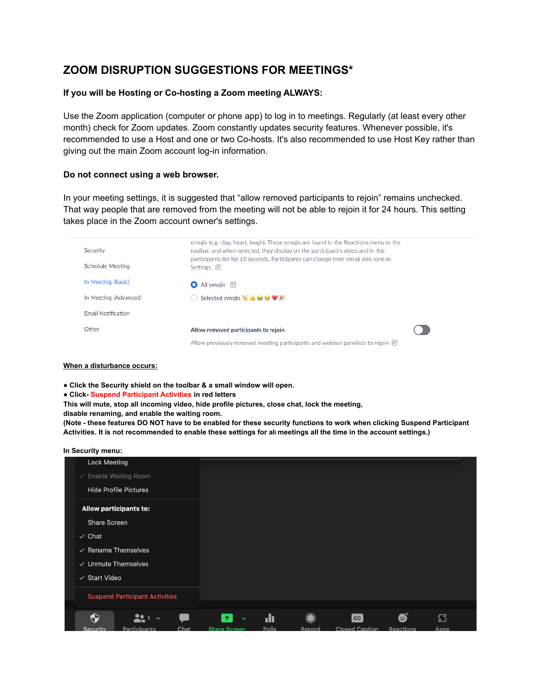# **ZOOM DISRUPTION SUGGESTIONS FOR MEETINGS\***

# **If you will be Hosting or Co-hosting a Zoom meeting ALWAYS:**

Use the Zoom application (computer or phone app) to log in to meetings. Regularly (at least every other month) check for Zoom updates. Zoom constantly updates security features. Whenever possible, it's recommended to use a Host and one or two Co-hosts. It's also recommended to use Host Key rather than giving out the main Zoom account log-in information.

## **Do not connect using a web browser.**

In your meeting settings, it is suggested that "allow removed participants to rejoin" remains unchecked. That way people that are removed from the meeting will not be able to rejoin it for 24 hours. This setting takes place in the Zoom account owner's settings.

| Security              | emojis (e.g. clap, heart, laugh). These emojis are found in the Reactions menu in the<br>toolbar, and when selected, they display on the participant's video and in the |  |
|-----------------------|-------------------------------------------------------------------------------------------------------------------------------------------------------------------------|--|
| Schedule Meeting      | participants list for 10 seconds. Participants can change their emoji skin tone in<br>Settings. [7]                                                                     |  |
| In Meeting (Basic)    | $\bullet$ All emojis $\boxtimes$                                                                                                                                        |  |
| In Meeting (Advanced) | $\bigcirc$ Selected emojis $\ddot{\bullet}$ $\mathbf{\dot{\bullet}}$ $\mathbf{\Theta}$ $\mathbf{\mathbf{\Psi}}$ $\mathbf{\mathbf{\mathbb{K}}}$                          |  |
| Email Notification    |                                                                                                                                                                         |  |
| Other                 | Allow removed participants to rejoin                                                                                                                                    |  |
|                       | Allow previously removed meeting participants and webinar panelists to rejoin $\triangledown$                                                                           |  |

### **When a disturbance occurs:**

**● Click the Security shield on the toolbar & a small window will open.**

**● Click- Suspend Participant Activities in red letters**

**This will mute, stop all incoming video, hide profile pictures, close chat, lock the meeting,**

**disable renaming, and enable the waiting room.**

(Note - these features DO NOT have to be enabled for these security functions to work when clicking Suspend Participant Activities. It is not recommended to enable these settings for all meetings all the time in the account settings.)

## **In Security menu:**

| <b>Lock Meeting</b>                   |                                             |          |                                                                                    |   |
|---------------------------------------|---------------------------------------------|----------|------------------------------------------------------------------------------------|---|
| $\vee$ Enable Waiting Room            |                                             |          |                                                                                    |   |
| <b>Hide Profile Pictures</b>          |                                             |          |                                                                                    |   |
| <b>Allow participants to:</b>         |                                             |          |                                                                                    |   |
| <b>Share Screen</b>                   |                                             |          |                                                                                    |   |
| $\checkmark$ Chat                     |                                             |          |                                                                                    |   |
| $\vee$ Rename Themselves              |                                             |          |                                                                                    |   |
| $\vee$ Unmute Themselves              |                                             |          |                                                                                    |   |
| ✓ Start Video                         |                                             |          |                                                                                    |   |
| <b>Suspend Participant Activities</b> |                                             |          |                                                                                    |   |
|                                       |                                             |          |                                                                                    |   |
| ↔<br>22<br>$1 - \lambda$              | $\hat{\mathbf{r}}$<br>$\boldsymbol{\wedge}$ | .h       | cc                                                                                 | Ø |
| 0 - - - - - - <b>1 -</b> -<br>ົ       | <b>Old Alan</b><br>$\sim$ $  -$             | $D - II$ | $\bigcap_{n=1}^{\infty}$ and $\bigcap_{n=1}^{\infty}$ and $\bigcap_{n=1}^{\infty}$ |   |